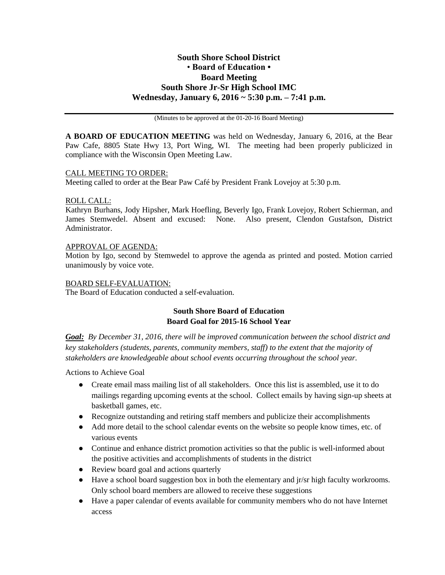# **South Shore School District** • **Board of Education • Board Meeting South Shore Jr-Sr High School IMC Wednesday, January 6, 2016 ~ 5:30 p.m. – 7:41 p.m.**

(Minutes to be approved at the 01-20-16 Board Meeting)

**A BOARD OF EDUCATION MEETING** was held on Wednesday, January 6, 2016, at the Bear Paw Cafe, 8805 State Hwy 13, Port Wing, WI. The meeting had been properly publicized in compliance with the Wisconsin Open Meeting Law.

### CALL MEETING TO ORDER:

Meeting called to order at the Bear Paw Café by President Frank Lovejoy at 5:30 p.m.

### ROLL CALL:

Kathryn Burhans, Jody Hipsher, Mark Hoefling, Beverly Igo, Frank Lovejoy, Robert Schierman, and James Stemwedel. Absent and excused: None. Also present, Clendon Gustafson, District Administrator.

### APPROVAL OF AGENDA:

Motion by Igo, second by Stemwedel to approve the agenda as printed and posted. Motion carried unanimously by voice vote.

### BOARD SELF-EVALUATION:

The Board of Education conducted a self-evaluation.

## **South Shore Board of Education Board Goal for 2015-16 School Year**

*Goal: By December 31, 2016, there will be improved communication between the school district and key stakeholders (students, parents, community members, staff) to the extent that the majority of stakeholders are knowledgeable about school events occurring throughout the school year.*

Actions to Achieve Goal

- Create email mass mailing list of all stakeholders. Once this list is assembled, use it to do mailings regarding upcoming events at the school. Collect emails by having sign-up sheets at basketball games, etc.
- Recognize outstanding and retiring staff members and publicize their accomplishments
- Add more detail to the school calendar events on the website so people know times, etc. of various events
- Continue and enhance district promotion activities so that the public is well-informed about the positive activities and accomplishments of students in the district
- Review board goal and actions quarterly
- Have a school board suggestion box in both the elementary and jr/sr high faculty workrooms. Only school board members are allowed to receive these suggestions
- Have a paper calendar of events available for community members who do not have Internet access